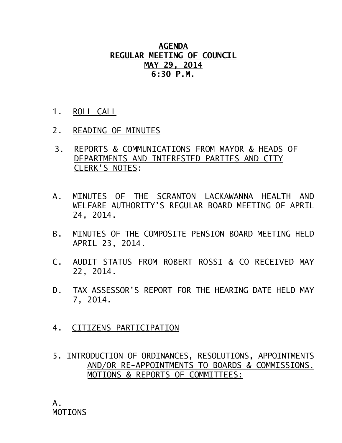## **AGENDA REGULAR MEETING OF COUNCIL MAY 29, 2014 6:30 P.M.**

- 1. ROLL CALL
- 2. READING OF MINUTES
- 3. REPORTS & COMMUNICATIONS FROM MAYOR & HEADS OF DEPARTMENTS AND INTERESTED PARTIES AND CITY CLERK'S NOTES:
- A. MINUTES OF THE SCRANTON LACKAWANNA HEALTH AND WELFARE AUTHORITY'S REGULAR BOARD MEETING OF APRIL 24, 2014.
- B. MINUTES OF THE COMPOSITE PENSION BOARD MEETING HELD APRIL 23, 2014.
- C. AUDIT STATUS FROM ROBERT ROSSI & CO RECEIVED MAY 22, 2014.
- D. TAX ASSESSOR'S REPORT FOR THE HEARING DATE HELD MAY 7, 2014.
- 4. CITIZENS PARTICIPATION
- 5. INTRODUCTION OF ORDINANCES, RESOLUTIONS, APPOINTMENTS AND/OR RE-APPOINTMENTS TO BOARDS & COMMISSIONS. MOTIONS & REPORTS OF COMMITTEES: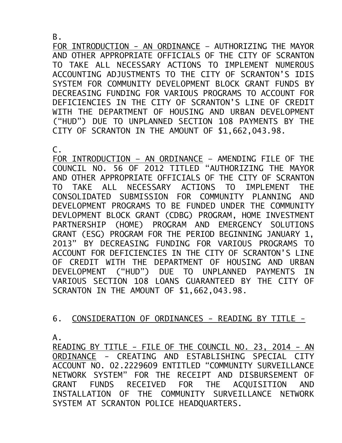B.

FOR INTRODUCTION - AN ORDINANCE – AUTHORIZING THE MAYOR AND OTHER APPROPRIATE OFFICIALS OF THE CITY OF SCRANTON TO TAKE ALL NECESSARY ACTIONS TO IMPLEMENT NUMEROUS ACCOUNTING ADJUSTMENTS TO THE CITY OF SCRANTON'S IDIS SYSTEM FOR COMMUNITY DEVELOPMENT BLOCK GRANT FUNDS BY DECREASING FUNDING FOR VARIOUS PROGRAMS TO ACCOUNT FOR DEFICIENCIES IN THE CITY OF SCRANTON'S LINE OF CREDIT WITH THE DEPARTMENT OF HOUSING AND URBAN DEVELOPMENT ("HUD") DUE TO UNPLANNED SECTION 108 PAYMENTS BY THE CITY OF SCRANTON IN THE AMOUNT OF \$1,662,043.98.

 $\mathsf{C}$ .

FOR INTRODUCTION – AN ORDINANCE – AMENDING FILE OF THE COUNCIL NO. 56 OF 2012 TITLED "AUTHORIZING THE MAYOR AND OTHER APPROPRIATE OFFICIALS OF THE CITY OF SCRANTON TO TAKE ALL NECESSARY ACTIONS TO IMPLEMENT THE CONSOLIDATED SUBMISSION FOR COMMUNITY PLANNING AND DEVELOPMENT PROGRAMS TO BE FUNDED UNDER THE COMMUNITY DEVLOPMENT BLOCK GRANT (CDBG) PROGRAM, HOME INVESTMENT PARTNERSHIP (HOME) PROGRAM AND EMERGENCY SOLUTIONS GRANT (ESG) PROGRAM FOR THE PERIOD BEGINNING JANUARY 1, 2013" BY DECREASING FUNDING FOR VARIOUS PROGRAMS TO ACCOUNT FOR DEFICIENCIES IN THE CITY OF SCRANTON'S LINE OF CREDIT WITH THE DEPARTMENT OF HOUSING AND URBAN DEVELOPMENT ("HUD") DUE TO UNPLANNED PAYMENTS IN VARIOUS SECTION 108 LOANS GUARANTEED BY THE CITY OF SCRANTON IN THE AMOUNT OF \$1,662,043.98.

## 6. CONSIDERATION OF ORDINANCES - READING BY TITLE -

A.

READING BY TITLE - FILE OF THE COUNCIL NO. 23, 2014 - AN ORDINANCE - CREATING AND ESTABLISHING SPECIAL CITY ACCOUNT NO. 02.2229609 ENTITLED "COMMUNITY SURVEILLANCE NETWORK SYSTEM" FOR THE RECEIPT AND DISBURSEMENT OF GRANT FUNDS RECEIVED FOR THE ACQUISITION AND INSTALLATION OF THE COMMUNITY SURVEILLANCE NETWORK SYSTEM AT SCRANTON POLICE HEADQUARTERS.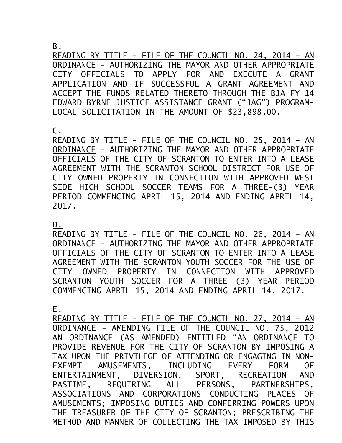B.

READING BY TITLE - FILE OF THE COUNCIL NO. 24, 2014 - AN ORDINANCE - AUTHORIZING THE MAYOR AND OTHER APPROPRIATE CITY OFFICIALS TO APPLY FOR AND EXECUTE A GRANT APPLICATION AND IF SUCCESSFUL A GRANT AGREEMENT AND ACCEPT THE FUNDS RELATED THERETO THROUGH THE BJA FY 14 EDWARD BYRNE JUSTICE ASSISTANCE GRANT ("JAG") PROGRAM-LOCAL SOLICITATION IN THE AMOUNT OF \$23,898.00.

 $\mathsf{C}$ .

READING BY TITLE - FILE OF THE COUNCIL NO. 25, 2014 - AN ORDINANCE - AUTHORIZING THE MAYOR AND OTHER APPROPRIATE OFFICIALS OF THE CITY OF SCRANTON TO ENTER INTO A LEASE AGREEMENT WITH THE SCRANTON SCHOOL DISTRICT FOR USE OF CITY OWNED PROPERTY IN CONNECTION WITH APPROVED WEST SIDE HIGH SCHOOL SOCCER TEAMS FOR A THREE-(3) YEAR PERIOD COMMENCING APRIL 15, 2014 AND ENDING APRIL 14, 2017.

D.

READING BY TITLE - FILE OF THE COUNCIL NO. 26, 2014 - AN ORDINANCE - AUTHORIZING THE MAYOR AND OTHER APPROPRIATE OFFICIALS OF THE CITY OF SCRANTON TO ENTER INTO A LEASE AGREEMENT WITH THE SCRANTON YOUTH SOCCER FOR THE USE OF CITY OWNED PROPERTY IN CONNECTION WITH APPROVED SCRANTON YOUTH SOCCER FOR A THREE (3) YEAR PERIOD COMMENCING APRIL 15, 2014 AND ENDING APRIL 14, 2017.

E.

READING BY TITLE - FILE OF THE COUNCIL NO. 27, 2014 - AN ORDINANCE - AMENDING FILE OF THE COUNCIL NO. 75, 2012 AN ORDINANCE (AS AMENDED) ENTITLED "AN ORDINANCE TO PROVIDE REVENUE FOR THE CITY OF SCRANTON BY IMPOSING A TAX UPON THE PRIVILEGE OF ATTENDING OR ENGAGING IN NON-EXEMPT AMUSEMENTS, INCLUDING EVERY FORM OF ENTERTAINMENT, DIVERSION, SPORT, RECREATION AND PASTIME, REQUIRING ALL PERSONS, PARTNERSHIPS, ASSOCIATIONS AND CORPORATIONS CONDUCTING PLACES OF AMUSEMENTS; IMPOSING DUTIES AND CONFERRING POWERS UPON THE TREASURER OF THE CITY OF SCRANTON; PRESCRIBING THE METHOD AND MANNER OF COLLECTING THE TAX IMPOSED BY THIS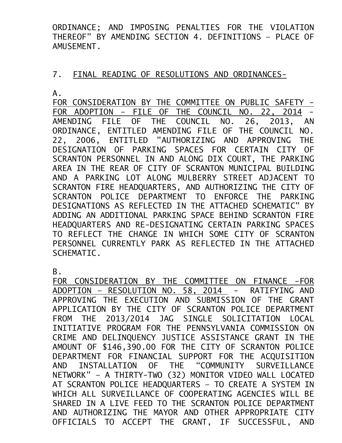ORDINANCE; AND IMPOSING PENALTIES FOR THE VIOLATION THEREOF" BY AMENDING SECTION 4. DEFINITIONS – PLACE OF AMUSEMENT.

## 7. FINAL READING OF RESOLUTIONS AND ORDINANCES-

A.

FOR CONSIDERATION BY THE COMMITTEE ON PUBLIC SAFETY -FOR ADOPTION – FILE OF THE COUNCIL NO. 22, 2014 - AMENDING FILE OF THE COUNCIL NO. 26, 2013, AN ORDINANCE, ENTITLED AMENDING FILE OF THE COUNCIL NO. 22, 2006, ENTITLED "AUTHORIZING AND APPROVING THE DESIGNATION OF PARKING SPACES FOR CERTAIN CITY OF SCRANTON PERSONNEL IN AND ALONG DIX COURT, THE PARKING AREA IN THE REAR OF CITY OF SCRANTON MUNICIPAL BUILDING AND A PARKING LOT ALONG MULBERRY STREET ADJACENT TO SCRANTON FIRE HEADQUARTERS, AND AUTHORIZING THE CITY OF SCRANTON POLICE DEPARTMENT TO ENFORCE THE PARKING DESIGNATIONS AS REFLECTED IN THE ATTACHED SCHEMATIC" BY ADDING AN ADDITIONAL PARKING SPACE BEHIND SCRANTON FIRE HEADQUARTERS AND RE-DESIGNATING CERTAIN PARKING SPACES TO REFLECT THE CHANGE IN WHICH SOME CITY OF SCRANTON PERSONNEL CURRENTLY PARK AS REFLECTED IN THE ATTACHED SCHEMATIC.

B.

FOR CONSIDERATION BY THE COMMITTEE ON FINANCE -FOR ADOPTION – RESOLUTION NO. 58, 2014 - RATIFYING AND APPROVING THE EXECUTION AND SUBMISSION OF THE GRANT APPLICATION BY THE CITY OF SCRANTON POLICE DEPARTMENT FROM THE 2013/2014 JAG SINGLE SOLICITATION LOCAL INITIATIVE PROGRAM FOR THE PENNSYLVANIA COMMISSION ON CRIME AND DELINQUENCY JUSTICE ASSISTANCE GRANT IN THE AMOUNT OF \$146,390.00 FOR THE CITY OF SCRANTON POLICE DEPARTMENT FOR FINANCIAL SUPPORT FOR THE ACQUISITION AND INSTALLATION OF THE "COMMUNITY SURVEILLANCE NETWORK" – A THIRTY-TWO (32) MONITOR VIDEO WALL LOCATED AT SCRANTON POLICE HEADQUARTERS – TO CREATE A SYSTEM IN WHICH ALL SURVEILLANCE OF COOPERATING AGENCIES WILL BE SHARED IN A LIVE FEED TO THE SCRANTON POLICE DEPARTMENT AND AUTHORIZING THE MAYOR AND OTHER APPROPRIATE CITY OFFICIALS TO ACCEPT THE GRANT, IF SUCCESSFUL, AND